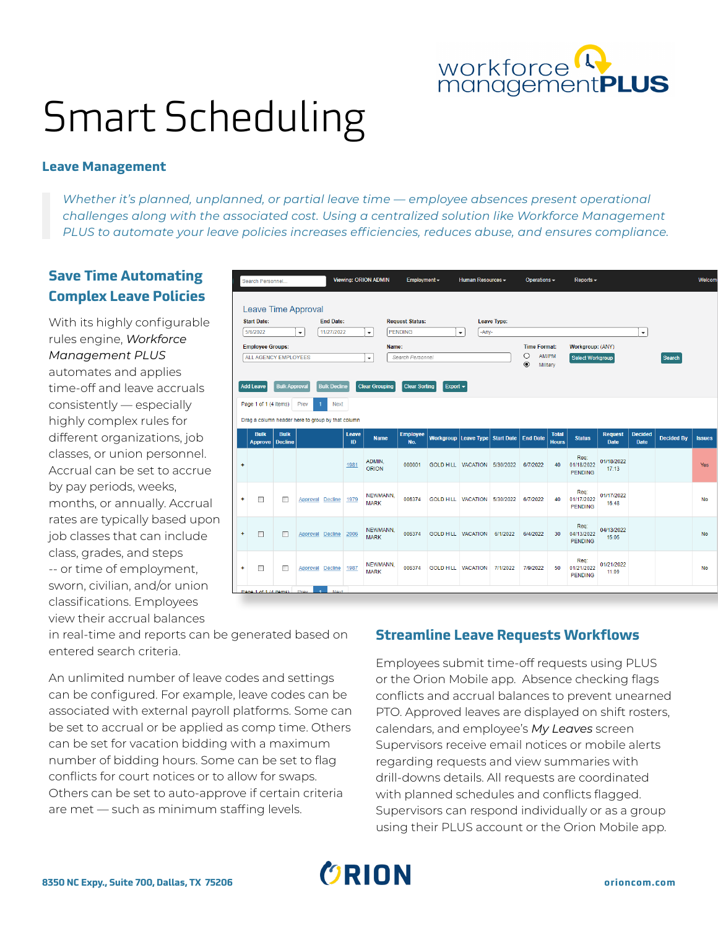

# Smart Scheduling

#### **Leave Management**

*Whether it's planned, unplanned, or partial leave time — employee absences present operational challenges along with the associated cost. Using a centralized solution like Workforce Management PLUS to automate your leave policies increases efficiencies, reduces abuse, and ensures compliance.*

# **Save Time Automating Complex Leave Policies**

With its highly configurable rules engine, *Workforce Management PLUS* automates and applies time-off and leave accruals consistently — especially highly complex rules for different organizations, job classes, or union personnel. Accrual can be set to accrue by pay periods, weeks, months, or annually. Accrual rates are typically based upon job classes that can include class, grades, and steps -- or time of employment, sworn, civilian, and/or union classifications. Employees view their accrual balances

|                                | Search Personnel                                        |                               |                  |                     | <b>Viewing: ORION ADMIN</b><br>Employment $\sim$ |                                   |                        |                                            | Human Resources -   |          | Operations -<br>$Reports -$ |                              |                                      |                               |                               | <b>Welcom</b>     |               |
|--------------------------------|---------------------------------------------------------|-------------------------------|------------------|---------------------|--------------------------------------------------|-----------------------------------|------------------------|--------------------------------------------|---------------------|----------|-----------------------------|------------------------------|--------------------------------------|-------------------------------|-------------------------------|-------------------|---------------|
|                                |                                                         |                               |                  |                     |                                                  |                                   |                        |                                            |                     |          |                             |                              |                                      |                               |                               |                   |               |
|                                | Leave Time Approval                                     |                               |                  |                     |                                                  |                                   |                        |                                            |                     |          |                             |                              |                                      |                               |                               |                   |               |
| <b>Start Date:</b><br>5/6/2022 |                                                         |                               | <b>End Date:</b> |                     |                                                  | <b>Request Status:</b><br>PENDING |                        |                                            | <b>Leave Type:</b>  |          |                             |                              |                                      |                               |                               |                   |               |
|                                |                                                         |                               | $\mathbf{v}$     | 11/27/2022          |                                                  |                                   |                        |                                            | -Any-<br>$\check{}$ |          |                             |                              |                                      |                               | $\blacktriangledown$          |                   |               |
|                                | <b>Employee Groups:</b>                                 |                               |                  |                     |                                                  | Name:                             |                        |                                            |                     |          | <b>Time Format:</b>         |                              | Workgroup: (ANY)                     |                               |                               |                   |               |
|                                | <b>ALL AGENCY EMPLOYEES</b><br>$\overline{\phantom{a}}$ |                               |                  |                     |                                                  |                                   | Search Personnel       |                                            |                     |          | $\circ$<br>$\odot$          | AM/PM                        | <b>Select Workgroup</b>              |                               | Search                        |                   |               |
|                                |                                                         |                               |                  |                     |                                                  |                                   |                        |                                            |                     |          | Military                    |                              |                                      |                               |                               |                   |               |
|                                | <b>Add Leave</b>                                        | <b>Bulk Approval</b>          |                  | <b>Bulk Decline</b> |                                                  | <b>Clear Grouping</b>             | <b>Clear Sorting</b>   | Export $\sim$                              |                     |          |                             |                              |                                      |                               |                               |                   |               |
|                                | Page 1 of 1 (4 items)                                   |                               | Prev             | <b>Next</b><br>и    |                                                  |                                   |                        |                                            |                     |          |                             |                              |                                      |                               |                               |                   |               |
|                                |                                                         |                               |                  |                     |                                                  |                                   |                        |                                            |                     |          |                             |                              |                                      |                               |                               |                   |               |
|                                | Drag a column header here to group by that column       |                               |                  |                     |                                                  |                                   |                        |                                            |                     |          |                             |                              |                                      |                               |                               |                   |               |
|                                | <b>Bulk</b><br><b>Approve</b>                           | <b>Bulk</b><br><b>Decline</b> |                  |                     | Leave<br>ID                                      | <b>Name</b>                       | <b>Employee</b><br>No. | Workgroup Leave Type Start Date   End Date |                     |          |                             | <b>Total</b><br><b>Hours</b> | <b>Status</b>                        | <b>Request</b><br><b>Date</b> | <b>Decided</b><br><b>Date</b> | <b>Decided By</b> | <b>Issues</b> |
| ÷                              |                                                         |                               |                  |                     | 1981                                             | ADMIN,<br><b>ORION</b>            | 000001                 | GOLD HILL   VACATION   5/30/2022           |                     |          | 6/7/2022                    | 40                           | Req:<br>01/18/2022<br><b>PENDING</b> | 01/18/2022<br>17:13           |                               |                   | Yes           |
| ÷                              | $\Box$                                                  | П                             | Approval         | <b>Decline</b>      | 1979                                             | <b>NEWMANN</b><br><b>MARK</b>     | 006374                 | GOLD HILL VACATION 5/30/2022               |                     |          | 6/7/2022                    | 40                           | Rea:<br>01/17/2022<br><b>PENDING</b> | 01/17/2022<br>16:48           |                               |                   | <b>No</b>     |
| $\ddot{}$                      | $\Box$                                                  | $\Box$                        |                  | Approval Decline    | 2006                                             | NEWMANN.<br><b>MARK</b>           | 006374                 | <b>GOLD HILL VACATION</b>                  |                     | 6/1/2022 | 6/4/2022                    | 30                           | Req:<br>04/13/2022<br><b>PENDING</b> | 04/13/2022<br>15:05           |                               |                   | <b>No</b>     |
| ÷                              | □                                                       | П                             |                  | Approval Decline    | 1987                                             | NEWMANN.<br><b>MARK</b>           | 006374                 | <b>GOLD HILL VACATION</b>                  |                     | 7/1/2022 | 7/9/2022                    | 50                           | Reg:<br>01/21/2022<br><b>PENDING</b> | 01/21/2022<br>11:09           |                               |                   | <b>No</b>     |
|                                | Page 1 of 1 (A items)                                   |                               | Drow             | Movt                |                                                  |                                   |                        |                                            |                     |          |                             |                              |                                      |                               |                               |                   |               |

in real-time and reports can be generated based on entered search criteria.

An unlimited number of leave codes and settings can be configured. For example, leave codes can be associated with external payroll platforms. Some can be set to accrual or be applied as comp time. Others can be set for vacation bidding with a maximum number of bidding hours. Some can be set to flag conflicts for court notices or to allow for swaps. Others can be set to auto-approve if certain criteria are met — such as minimum staffing levels.

## **Streamline Leave Requests Workflows**

Employees submit time-off requests using PLUS or the Orion Mobile app. Absence checking flags conflicts and accrual balances to prevent unearned PTO. Approved leaves are displayed on shift rosters, calendars, and employee's *My Leaves* screen Supervisors receive email notices or mobile alerts regarding requests and view summaries with drill-downs details. All requests are coordinated with planned schedules and conflicts flagged. Supervisors can respond individually or as a group using their PLUS account or the Orion Mobile app.